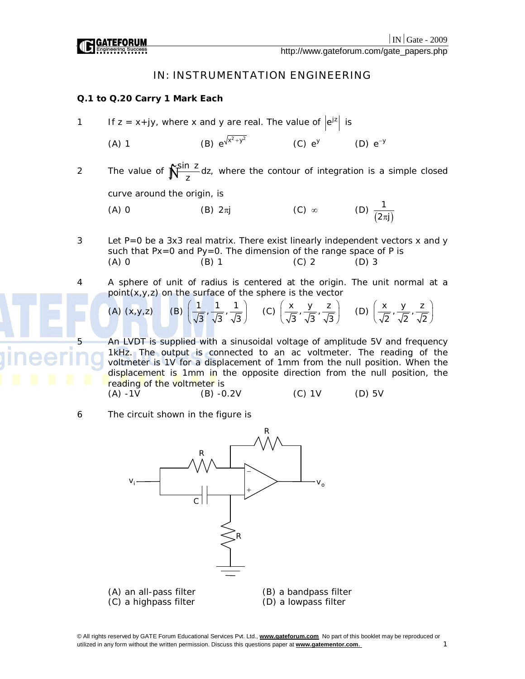http://www.gateforum.com/gate\_papers.php

# IN: INSTRUMENTATION ENGINEERING

# **Q.1 to Q.20 Carry 1 Mark Each**

- 1 If  $z = x + jy$ , where x and y are real. The value of  $|e^{jz}|$  is
	- $(A)$  1  $e^{\sqrt{x^2+y^2}}$  (C)  $e^y$  (D)  $e^{-y}$
- 2 The value of  $\int_{\frac{1}{2}}^{\frac{\sin x}{2}} dz$ , where the contour of integration is a simple closed

curve around the origin, is

- (A) 0 (B)  $2\pi j$  (C)  $\infty$  (D)  $\frac{1}{(2\pi j)}$  $2\pi j$ )
- 3 Let P=0 be a 3x3 real matrix. There exist linearly independent vectors x and y such that Px=0 and Py=0. The dimension of the range space of P is (A) 0 (B) 1 (C) 2 (D) 3
- 4 A sphere of unit of radius is centered at the origin. The unit normal at a point(x,y,z) on the surface of the sphere is the vector

(A) 
$$
(x,y,z)
$$
 (B)  $\left(\frac{1}{\sqrt{3}}, \frac{1}{\sqrt{3}}, \frac{1}{\sqrt{3}}\right)$  (C)  $\left(\frac{x}{\sqrt{3}}, \frac{y}{\sqrt{3}}, \frac{z}{\sqrt{3}}\right)$  (D)  $\left(\frac{x}{\sqrt{2}}, \frac{y}{\sqrt{2}}, \frac{z}{\sqrt{2}}\right)$ 

An LVDT is supplied with a sinusoidal voltage of amplitude 5V and frequency 1kHz. The output is connected to an ac voltmeter. The reading of the voltmeter is 1V for a displacement of 1mm from the null position. When the displacement is 1mm in the opposite direction from the null position, the reading of the voltmeter is

 $(A) -1V$  (B)  $-0.2V$  (C) 1V (D) 5V

6 The circuit shown in the figure is

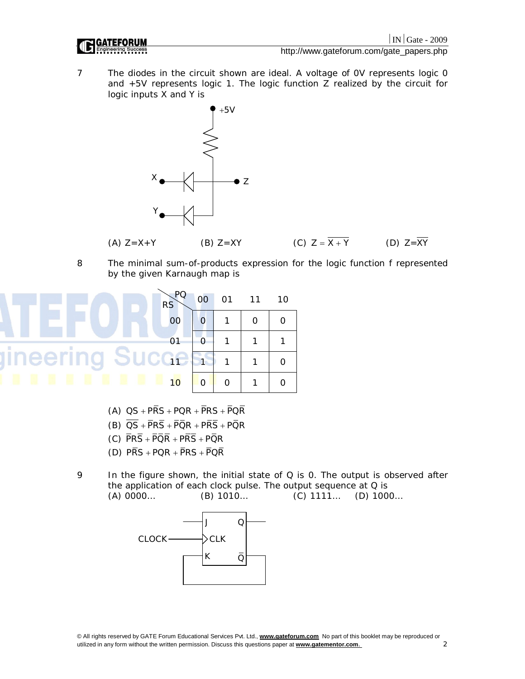

7 The diodes in the circuit shown are ideal. A voltage of 0V represents logic 0 and +5V represents logic 1. The logic function Z realized by the circuit for logic inputs X and Y is



8 The minimal sum-of-products expression for the logic function f represented by the given Karnaugh map is



- (A)  $QS + P\overline{RS} + PQR + \overline{P}RS + \overline{P}Q\overline{R}$
- (B)  $\overline{QS} + \overline{PRS} + \overline{PQR} + \overline{PRS} + \overline{PQR}$
- (C)  $\overline{PRS} + \overline{PQR} + \overline{PRS} + \overline{PQR}$
- (D)  $\overline{PRS} + \overline{PQR} + \overline{PRS} + \overline{PQR}$
- 9 In the figure shown, the initial state of Q is 0. The output is observed after the application of each clock pulse. The output sequence at Q is (A) 0000… (B) 1010… (C) 1111… (D) 1000…

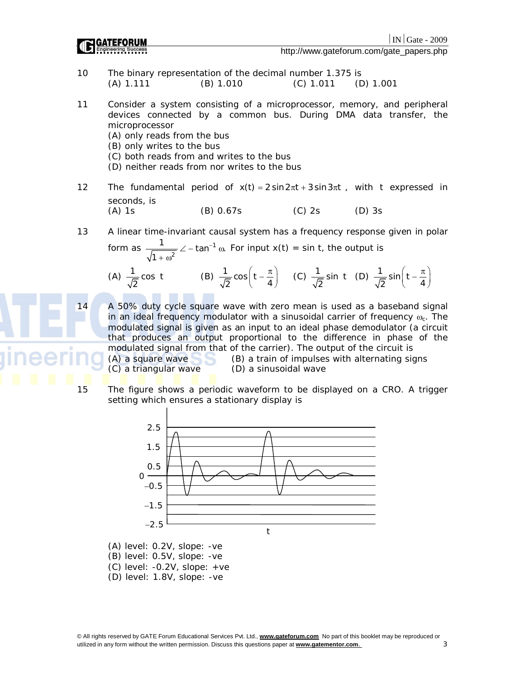|                                          | $ IN $ Gate - 2009 |  |
|------------------------------------------|--------------------|--|
| http://www.gateforum.com/gate_papers.php |                    |  |

 $-2009$ 

- 10 The binary representation of the decimal number 1.375 is (A) 1.111 (B) 1.010 (C) 1.011 (D) 1.001
- 11 Consider a system consisting of a microprocessor, memory, and peripheral devices connected by a common bus. During DMA data transfer, the microprocessor
	- (A) only reads from the bus
	- (B) only writes to the bus
	- (C) both reads from and writes to the bus
	- (D) neither reads from nor writes to the bus
- 12 The fundamental period of  $x(t) = 2 \sin 2\pi t + 3 \sin 3\pi t$ , with t expressed in seconds, is (A) 1s (B) 0.67s (C) 2s (D) 3s
- 13 A linear time-invariant causal system has a frequency response given in polar

form as 
$$
\frac{1}{\sqrt{1 + \omega^2}} \angle -\tan^{-1} \omega
$$
. For input x(t) = sin t, the output is  
\n(A)  $\frac{1}{\sqrt{2}} \cos t$  (B)  $\frac{1}{\sqrt{2}} \cos \left( t - \frac{\pi}{4} \right)$  (C)  $\frac{1}{\sqrt{2}} \sin t$  (D)  $\frac{1}{\sqrt{2}} \sin \left( t - \frac{\pi}{4} \right)$ 

14 A 50% duty cycle square wave with zero mean is used as a baseband signal in an ideal frequency modulator with a sinusoidal carrier of frequency  $\omega_c$ . The modulated signal is given as an input to an ideal phase demodulator (a circuit that produces an output proportional to the difference in phase of the modulated signal from that of the carrier). The output of the circuit is<br>(A) a square wave (B) a train of impulses with alternating sig

(C) a triangular wave (D) a sinusoidal wave

2

 $(B)$  a train of impulses with alternating signs

2

15 The figure shows a periodic waveform to be displayed on a CRO. A trigger setting which ensures a stationary display is



(A) level: 0.2V, slope: -ve (B) level: 0.5V, slope: -ve

- (C) level: -0.2V, slope: +ve
- (D) level: 1.8V, slope: -ve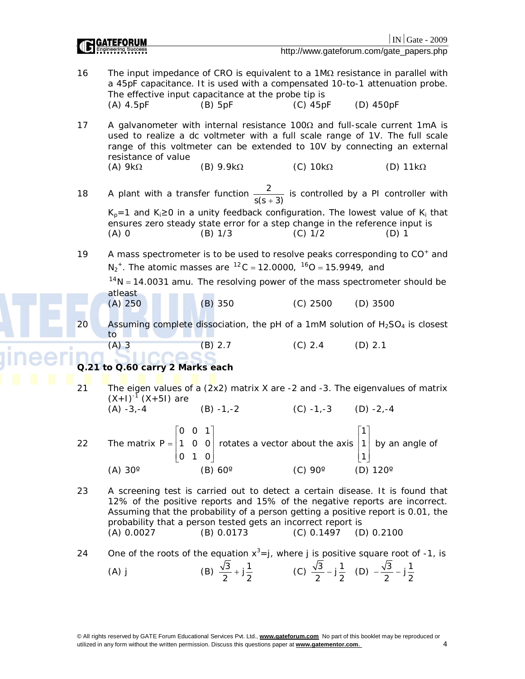|                                 |                                                                                                                                                                               |                     |                                                                                                                          | $IN Gate - 2009$                                                                                                                                                                                                                                |
|---------------------------------|-------------------------------------------------------------------------------------------------------------------------------------------------------------------------------|---------------------|--------------------------------------------------------------------------------------------------------------------------|-------------------------------------------------------------------------------------------------------------------------------------------------------------------------------------------------------------------------------------------------|
|                                 |                                                                                                                                                                               |                     |                                                                                                                          | http://www.gateforum.com/gate_papers.php                                                                                                                                                                                                        |
| 16                              | The effective input capacitance at the probe tip is<br>$(A)$ 4.5pF                                                                                                            | $(B)$ 5pF           | $(C)$ 45pF                                                                                                               | The input impedance of CRO is equivalent to a $1M\Omega$ resistance in parallel with<br>a 45pF capacitance. It is used with a compensated 10-to-1 attenuation probe.<br>(D) 450pF                                                               |
| 17                              | resistance of value                                                                                                                                                           |                     |                                                                                                                          | A galvanometer with internal resistance $100\Omega$ and full-scale current 1mA is<br>used to realize a dc voltmeter with a full scale range of 1V. The full scale<br>range of this voltmeter can be extended to 10V by connecting an external   |
|                                 | (A) $9k\Omega$                                                                                                                                                                | $(B)$ 9.9k $\Omega$ | (C) $10k\Omega$                                                                                                          | (D) $11k\Omega$                                                                                                                                                                                                                                 |
| 18                              |                                                                                                                                                                               |                     |                                                                                                                          | A plant with a transfer function $\frac{2}{s(s+3)}$ is controlled by a PI controller with                                                                                                                                                       |
|                                 | ensures zero steady state error for a step change in the reference input is<br>$(A)$ 0                                                                                        | (B) 1/3             | $(C)$ 1/2                                                                                                                | $K_p=1$ and $K_i\geq 0$ in a unity feedback configuration. The lowest value of $K_i$ that<br>$(D)$ 1                                                                                                                                            |
| 19                              | $N_2^+$ . The atomic masses are ${}^{12}C = 12.0000$ , ${}^{16}O = 15.9949$ , and                                                                                             |                     |                                                                                                                          | A mass spectrometer is to be used to resolve peaks corresponding to CO <sup>+</sup> and<br>$14N = 14.0031$ amu. The resolving power of the mass spectrometer should be                                                                          |
|                                 | atleast<br>$(A)$ 250                                                                                                                                                          | $(B)$ 350           | $(C)$ 2500                                                                                                               | $(D)$ 3500                                                                                                                                                                                                                                      |
| 20                              | to                                                                                                                                                                            |                     |                                                                                                                          | Assuming complete dissociation, the pH of a 1mM solution of $H_2SO_4$ is closest                                                                                                                                                                |
|                                 | $(A)$ 3                                                                                                                                                                       | (B) 2.7             | (C) 2.4                                                                                                                  | $(D)$ 2.1                                                                                                                                                                                                                                       |
| Q.21 to Q.60 carry 2 Marks each |                                                                                                                                                                               |                     |                                                                                                                          |                                                                                                                                                                                                                                                 |
| 21                              |                                                                                                                                                                               |                     |                                                                                                                          | The eigen values of a (2x2) matrix X are -2 and -3. The eigenvalues of matrix                                                                                                                                                                   |
|                                 | $(X+1)^{-1}$ $(X+51)$ are<br>$(A) -3 -4$                                                                                                                                      | $(B) -1, -2$        | $(C) -1, -3$ $(D) -2, -4$                                                                                                |                                                                                                                                                                                                                                                 |
| 22                              | The matrix $P = \begin{bmatrix} 0 & 0 & 1 \\ 1 & 0 & 0 \\ 0 & 1 & 0 \end{bmatrix}$ rotates a vector about the axis $\begin{bmatrix} 1 \\ 1 \\ 1 \end{bmatrix}$ by an angle of |                     |                                                                                                                          |                                                                                                                                                                                                                                                 |
|                                 | $(A)$ 30 $^{\circ}$                                                                                                                                                           | $(B) 60^\circ$      | $(C)$ 90 $^{\circ}$                                                                                                      | (D) $120^\circ$                                                                                                                                                                                                                                 |
| 23                              | probability that a person tested gets an incorrect report is<br>(A) 0.0027                                                                                                    | (B) 0.0173          | $(C) 0.1497$ (D) 0.2100                                                                                                  | A screening test is carried out to detect a certain disease. It is found that<br>12% of the positive reports and 15% of the negative reports are incorrect.<br>Assuming that the probability of a person getting a positive report is 0.01, the |
| 24                              | $(A)$ j                                                                                                                                                                       |                     | (B) $\frac{\sqrt{3}}{2} + j\frac{1}{2}$ (C) $\frac{\sqrt{3}}{2} - j\frac{1}{2}$ (D) $-\frac{\sqrt{3}}{2} - j\frac{1}{2}$ | One of the roots of the equation $x^3 = j$ , where j is positive square root of -1, is                                                                                                                                                          |
|                                 |                                                                                                                                                                               |                     |                                                                                                                          |                                                                                                                                                                                                                                                 |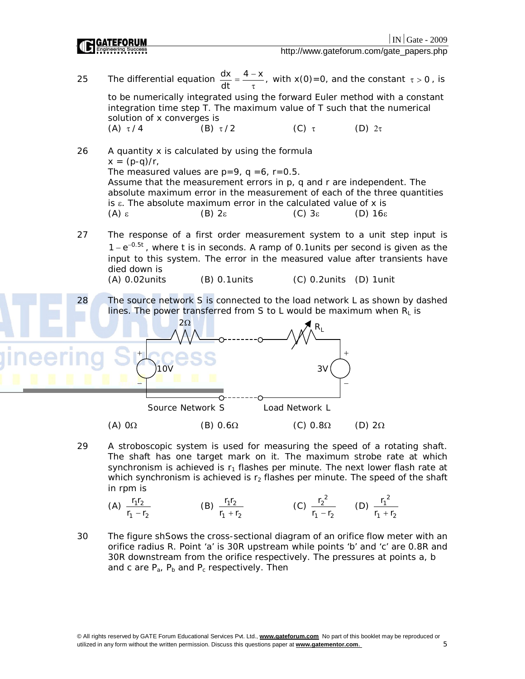http://www.gateforum.com/gate\_papers.php



29 A stroboscopic system is used for measuring the speed of a rotating shaft. The shaft has one target mark on it. The maximum strobe rate at which synchronism is achieved is  $r_1$  flashes per minute. The next lower flash rate at which synchronism is achieved is  $r_2$  flashes per minute. The speed of the shaft in rpm is

(A) 
$$
\frac{r_1 r_2}{r_1 - r_2}
$$
 (B)  $\frac{r_1 r_2}{r_1 + r_2}$  (C)  $\frac{r_2^2}{r_1 - r_2}$  (D)  $\frac{r_1^2}{r_1 + r_2}$ 

30 The figure shSows the cross-sectional diagram of an orifice flow meter with an orifice radius R. Point 'a' is 30R upstream while points 'b' and 'c' are 0.8R and 30R downstream from the orifice respectively. The pressures at points a, b and c are  $P_a$ ,  $P_b$  and  $P_c$  respectively. Then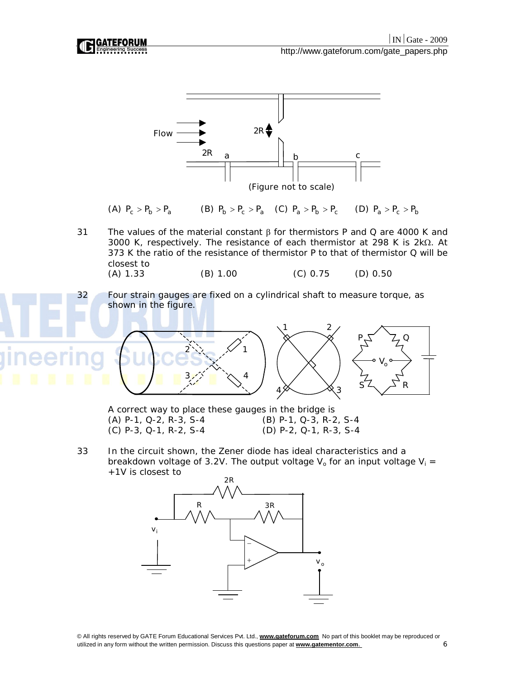

breakdown voltage of 3.2V. The output voltage  $V_0$  for an input voltage  $V_i =$ +1V is closest to

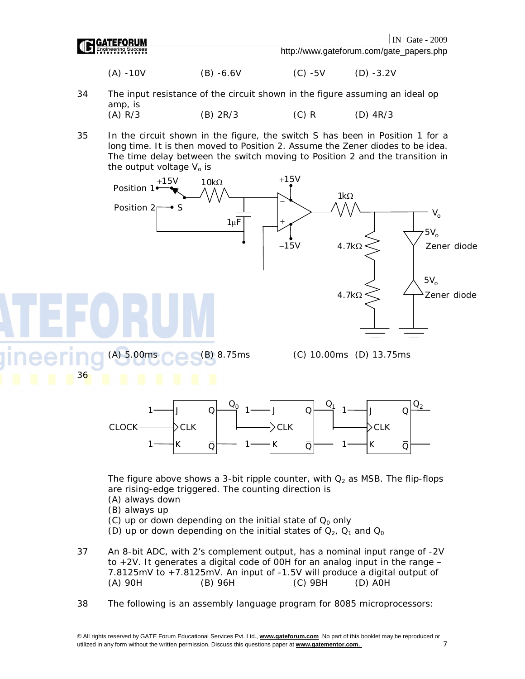

The figure above shows a 3-bit ripple counter, with  $Q_2$  as MSB. The flip-flops are rising-edge triggered. The counting direction is

- (A) always down
- (B) always up
- (C) up or down depending on the initial state of  $Q_0$  only
- (D) up or down depending on the initial states of  $Q_2$ ,  $Q_1$  and  $Q_0$

37 An 8-bit ADC, with 2's complement output, has a nominal input range of -2V to  $+2V$ . It generates a digital code of OOH for an analog input in the range  $-$ 7.8125mV to  $+7.8125$ mV. An input of  $-1.5V$  will produce a digital output of  $(A)$  90H (D) AOH (A) 90H (B) 96H (C) 9BH (D) A0H

38 The following is an assembly language program for 8085 microprocessors: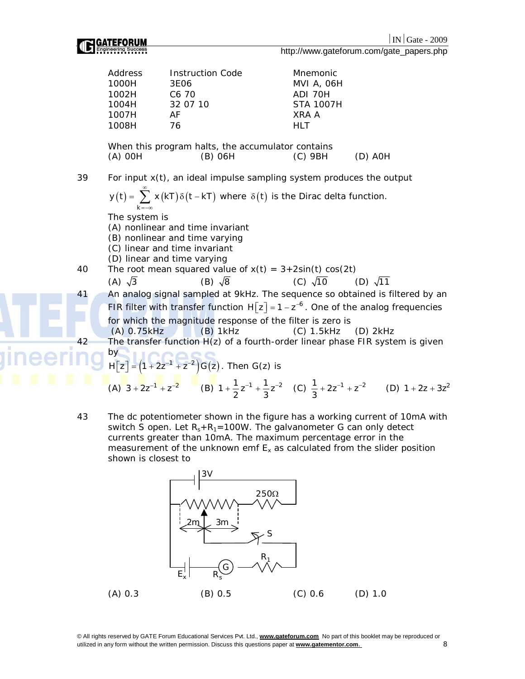

http://www.gateforum.com/gate\_papers.php

|    | Address                                                                                                                                                  | Instruction Code                                  | Mnemonic         |           |
|----|----------------------------------------------------------------------------------------------------------------------------------------------------------|---------------------------------------------------|------------------|-----------|
|    | 1000H                                                                                                                                                    | 3E06                                              | MVI A, 06H       |           |
|    | 1002H                                                                                                                                                    | C <sub>6</sub> 70                                 | ADI 70H          |           |
|    | 1004H                                                                                                                                                    | 32 07 10                                          | <b>STA 1007H</b> |           |
|    | 1007H                                                                                                                                                    | AF                                                | XRA A            |           |
|    | 1008H                                                                                                                                                    | 76                                                | <b>HLT</b>       |           |
|    |                                                                                                                                                          |                                                   |                  |           |
|    |                                                                                                                                                          | When this program halts, the accumulator contains |                  |           |
|    | $(A)$ OOH                                                                                                                                                | $(B)$ 06H                                         | (C) 9BH          | $(D)$ AOH |
|    |                                                                                                                                                          |                                                   |                  |           |
| 39 | For input x(t), an ideal impulse sampling system produces the output<br>$y(t) = \sum x(kT)\delta(t - kT)$ where $\delta(t)$ is the Dirac delta function. |                                                   |                  |           |
|    |                                                                                                                                                          |                                                   |                  |           |
|    |                                                                                                                                                          |                                                   |                  |           |

 $k = -\infty$ The system is

- (A) nonlinear and time invariant
- (B) nonlinear and time varying
- (C) linear and time invariant
- (D) linear and time varying
- 40 The root mean squared value of  $x(t) = 3+2\sin(t) \cos(2t)$
- (A)  $\sqrt{3}$  (B)  $\sqrt{8}$  (C)  $\sqrt{10}$  (D)  $\sqrt{11}$ 41 An analog signal sampled at 9kHz. The sequence so obtained is filtered by an FIR filter with transfer function  $H[z] = 1 - z^{-6}$ . One of the analog frequencies for which the magnitude response of the filter is zero is (A) 0.75kHz (B) 1kHz (C) 1.5kHz (D) 2kHz The transfer function  $H(z)$  of a fourth-order linear phase FIR system is given by  $H[z] = (1 + 2z^{-1} + z^{-2})G(z)$ . Then  $G(z)$  is

(A) 
$$
3 + 2z^{-1} + z^{-2}
$$
 (B)  $1 + \frac{1}{2}z^{-1} + \frac{1}{3}z^{-2}$  (C)  $\frac{1}{3} + 2z^{-1} + z^{-2}$  (D)  $1 + 2z + 3z^{2}$ 

43 The dc potentiometer shown in the figure has a working current of 10mA with switch S open. Let  $R_s + R_1 = 100W$ . The galvanometer G can only detect currents greater than 10mA. The maximum percentage error in the measurement of the unknown emf  $E<sub>x</sub>$  as calculated from the slider position shown is closest to

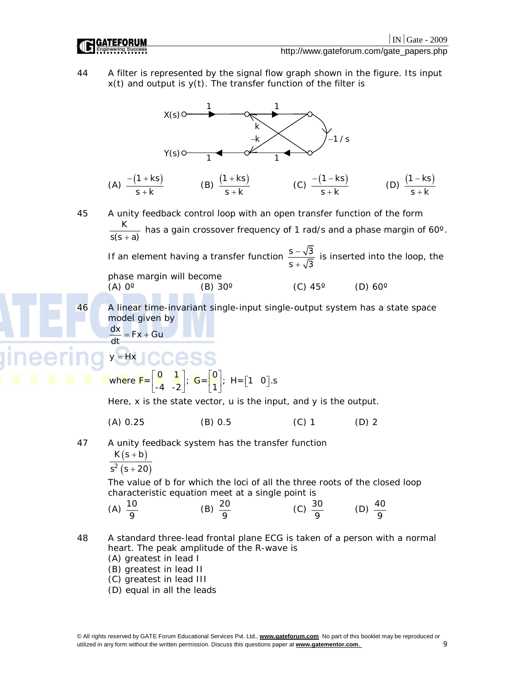

(D) equal in all the leads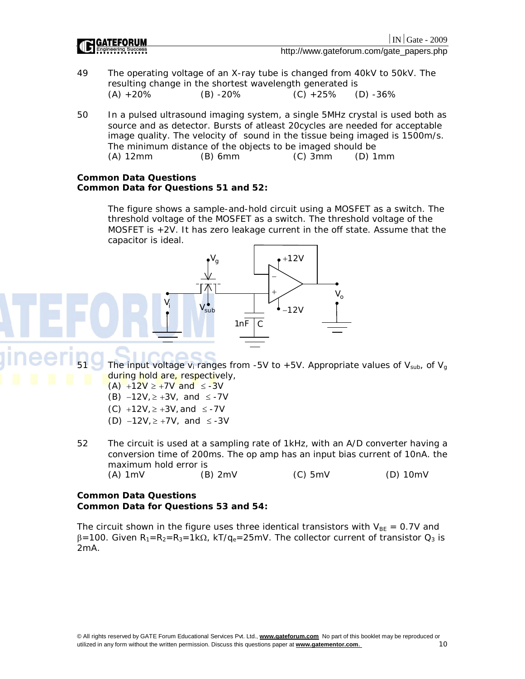|                     | IN   Gate - 2009                         |
|---------------------|------------------------------------------|
| <b>IC GATEFORUM</b> | http://www.gateforum.com/gate_papers.php |

- 49 The operating voltage of an X-ray tube is changed from 40kV to 50kV. The resulting change in the shortest wavelength generated is  $(A) +20\%$  (B) -20% (C) +25% (D) -36%
- 50 In a pulsed ultrasound imaging system, a single 5MHz crystal is used both as source and as detector. Bursts of atleast 20cycles are needed for acceptable image quality. The velocity of sound in the tissue being imaged is 1500m/s. The minimum distance of the objects to be imaged should be (A) 12mm (B) 6mm (C) 3mm (D) 1mm

### **Common Data Questions Common Data for Questions 51 and 52:**

The figure shows a sample-and-hold circuit using a MOSFET as a switch. The threshold voltage of the MOSFET as a switch. The threshold voltage of the MOSFET is +2V. It has zero leakage current in the off state. Assume that the capacitor is ideal.



 $(A) + 12V \ge +7V$  and  $\le -3V$ 

- (B)  $-12V, \geq +3V,$  and  $\leq -7V$
- (C)  $+12V, \geq +3V,$  and  $\leq -7V$
- (D)  $-12V$ ,  $\geq +7V$ , and  $\leq -3V$
- 52 The circuit is used at a sampling rate of 1kHz, with an A/D converter having a conversion time of 200ms. The op amp has an input bias current of 10nA. the maximum hold error is (A) 1mV (B) 2mV (C) 5mV (D) 10mV

### **Common Data Questions Common Data for Questions 53 and 54:**

The circuit shown in the figure uses three identical transistors with  $V_{BE} = 0.7V$  and  $\beta$ =100. Given R<sub>1</sub>=R<sub>2</sub>=R<sub>3</sub>=1k $\Omega$ , kT/q<sub>e</sub>=25mV. The collector current of transistor  $Q_3$  is 2mA.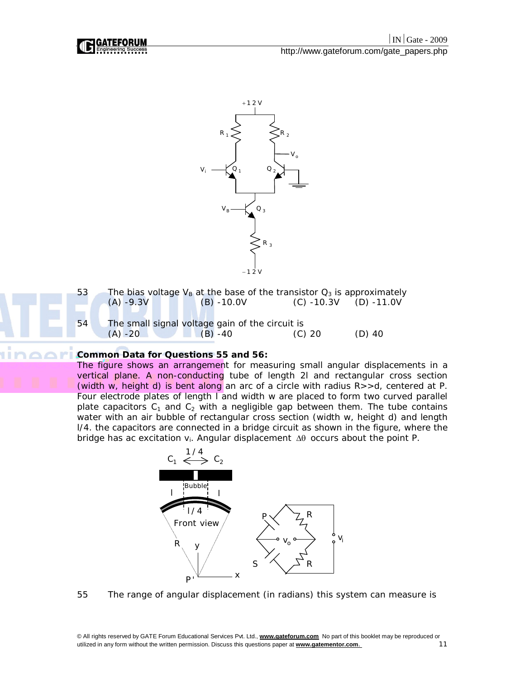





## **Common Data for Questions 55 and 56:**

The figure shows an arrangement for measuring small angular displacements in a vertical plane. A non-conducting tube of length 2l and rectangular cross section (width w, height d) is bent along an arc of a circle with radius R>>d, centered at P. Four electrode plates of length l and width w are placed to form two curved parallel plate capacitors  $C_1$  and  $C_2$  with a negligible gap between them. The tube contains water with an air bubble of rectangular cross section (width w, height d) and length l/4. the capacitors are connected in a bridge circuit as shown in the figure, where the bridge has ac excitation  $v_i$ . Angular displacement  $\Delta\theta$  occurs about the point P.



55 The range of angular displacement (in radians) this system can measure is